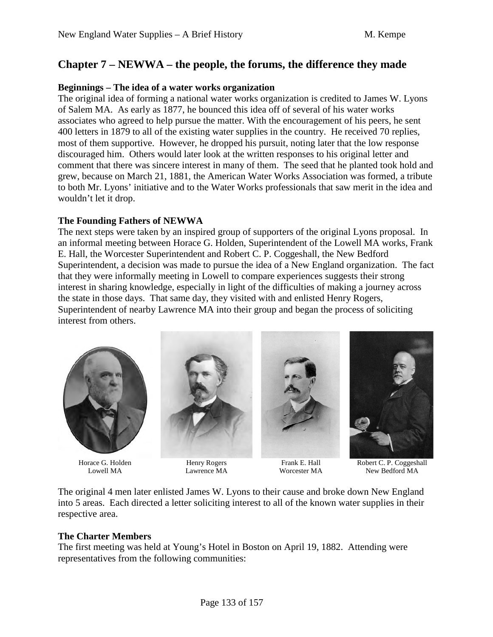# **Chapter 7 – NEWWA – the people, the forums, the difference they made**

## **Beginnings – The idea of a water works organization**

The original idea of forming a national water works organization is credited to James W. Lyons of Salem MA. As early as 1877, he bounced this idea off of several of his water works associates who agreed to help pursue the matter. With the encouragement of his peers, he sent 400 letters in 1879 to all of the existing water supplies in the country. He received 70 replies, most of them supportive. However, he dropped his pursuit, noting later that the low response discouraged him. Others would later look at the written responses to his original letter and comment that there was sincere interest in many of them. The seed that he planted took hold and grew, because on March 21, 1881, the American Water Works Association was formed, a tribute to both Mr. Lyons' initiative and to the Water Works professionals that saw merit in the idea and wouldn't let it drop.

## **The Founding Fathers of NEWWA**

The next steps were taken by an inspired group of supporters of the original Lyons proposal. In an informal meeting between Horace G. Holden, Superintendent of the Lowell MA works, Frank E. Hall, the Worcester Superintendent and Robert C. P. Coggeshall, the New Bedford Superintendent, a decision was made to pursue the idea of a New England organization. The fact that they were informally meeting in Lowell to compare experiences suggests their strong interest in sharing knowledge, especially in light of the difficulties of making a journey across the state in those days. That same day, they visited with and enlisted Henry Rogers, Superintendent of nearby Lawrence MA into their group and began the process of soliciting interest from others.



Horace G. Holden Lowell MA



Henry Rogers Lawrence MA



Frank E. Hall Worcester MA

Robert C. P. Coggeshall New Bedford MA

The original 4 men later enlisted James W. Lyons to their cause and broke down New England into 5 areas. Each directed a letter soliciting interest to all of the known water supplies in their respective area.

# **The Charter Members**

The first meeting was held at Young's Hotel in Boston on April 19, 1882. Attending were representatives from the following communities: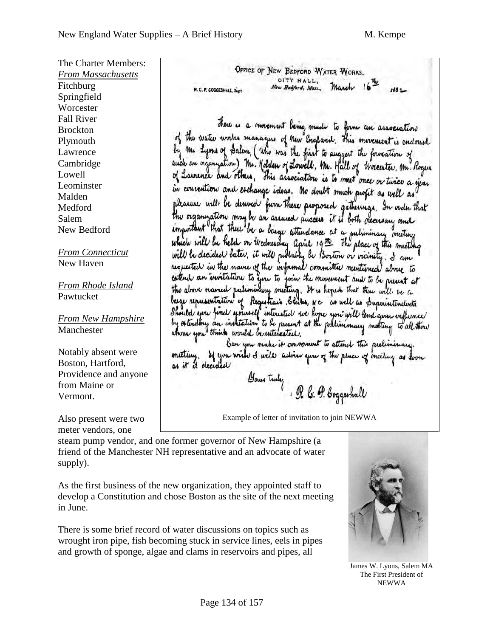The Charter Members: *From Massachusetts* Fitchburg Springfield **Worcester** Fall River Brockton Plymouth Lawrence Cambridge Lowell Leominster Malden Medford Salem New Bedford *From Connecticut* New Haven

*From Rhode Island* Pawtucket

*From New Hampshire* Manchester

Notably absent were Boston, Hartford, Providence and anyone from Maine or Vermont.

Also present were two meter vendors, one

OFFICE OF NEW BEDFORD WATER WORKS. CITY HALL, March 16-New Bedford, Mass.,  $1881 -$ R.C.P. COGGESHALL, Supt

There is a movement being made to form an association of the water works manages of new England. This movement is endorsed m Lyons of Salem, ( Who was the first to suggest the formation of such an organization) Mr. Holden of Lowell, Mr. Hall of Worcester, Mr. Roger of Laurence and others, This association is to meet once or turier a year in convention and eschange icleas. No doubt much profit as well as pleasure will be derived from these purposed gatherings. In order that the organization may be an assured success it is both necessary and important that there be a large attendance at a pulininary meeting which will be held on thednesday april 19th the place of this meeting will be decided bater, it will published be Boston or vicinity. I am requested in the name of the informal committee mentioned above to estend an invitation to you to join the movement and to be present at the above named preliminary meeting. It is hoped that there will be a large representation of Registrais. Slikes, N c as well as Superintendents Should you find yourself interested we hope you will lead you influence by estinding an institution to be present at the prelimmary meeting to all there

ban you make it convenient to attend this preliminary. meeting. If you wish I will active you of the place of meeting as form as it is decided

Your tuly , OR b: 9. boggeshall

Example of letter of invitation to join NEWWA

steam pump vendor, and one former governor of New Hampshire (a friend of the Manchester NH representative and an advocate of water supply).

As the first business of the new organization, they appointed staff to develop a Constitution and chose Boston as the site of the next meeting in June.

There is some brief record of water discussions on topics such as wrought iron pipe, fish becoming stuck in service lines, eels in pipes and growth of sponge, algae and clams in reservoirs and pipes, all



James W. Lyons, Salem MA The First President of NEWWA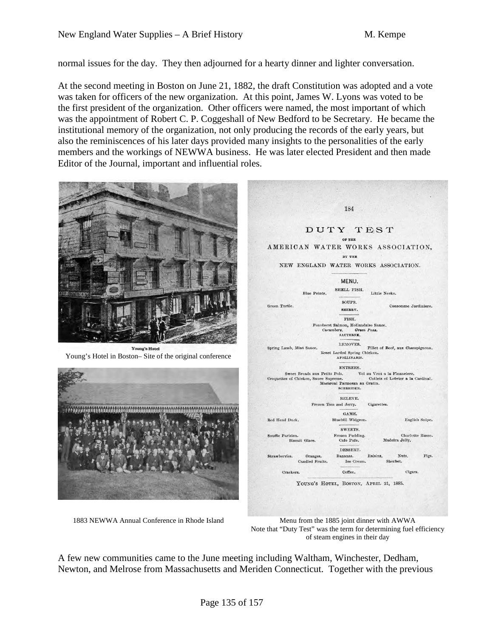normal issues for the day. They then adjourned for a hearty dinner and lighter conversation.

At the second meeting in Boston on June 21, 1882, the draft Constitution was adopted and a vote was taken for officers of the new organization. At this point, James W. Lyons was voted to be the first president of the organization. Other officers were named, the most important of which was the appointment of Robert C. P. Coggeshall of New Bedford to be Secretary. He became the institutional memory of the organization, not only producing the records of the early years, but also the reminiscences of his later days provided many insights to the personalities of the early members and the workings of NEWWA business. He was later elected President and then made Editor of the Journal, important and influential roles.



1883 NEWWA Annual Conference in Rhode Island Menu from the 1885 joint dinner with AWWA Note that "Duty Test" was the term for determining fuel efficiency of steam engines in their day

A few new communities came to the June meeting including Waltham, Winchester, Dedham, Newton, and Melrose from Massachusetts and Meriden Connecticut. Together with the previous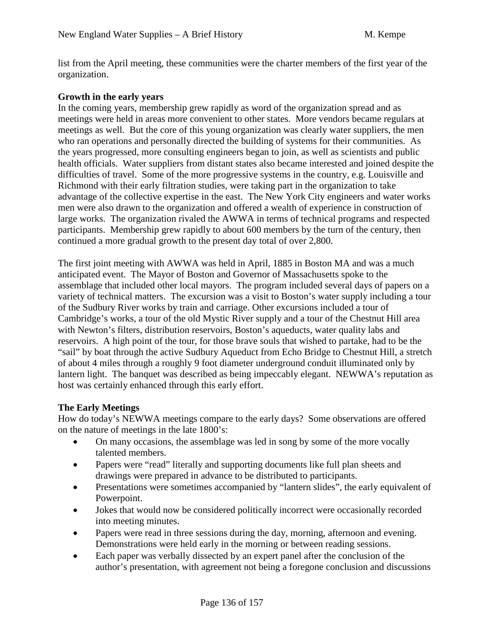list from the April meeting, these communities were the charter members of the first year of the organization.

### **Growth in the early years**

In the coming years, membership grew rapidly as word of the organization spread and as meetings were held in areas more convenient to other states. More vendors became regulars at meetings as well. But the core of this young organization was clearly water suppliers, the men who ran operations and personally directed the building of systems for their communities. As the years progressed, more consulting engineers began to join, as well as scientists and public health officials. Water suppliers from distant states also became interested and joined despite the difficulties of travel. Some of the more progressive systems in the country, e.g. Louisville and Richmond with their early filtration studies, were taking part in the organization to take advantage of the collective expertise in the east. The New York City engineers and water works men were also drawn to the organization and offered a wealth of experience in construction of large works. The organization rivaled the AWWA in terms of technical programs and respected participants. Membership grew rapidly to about 600 members by the turn of the century, then continued a more gradual growth to the present day total of over 2,800.

The first joint meeting with AWWA was held in April, 1885 in Boston MA and was a much anticipated event. The Mayor of Boston and Governor of Massachusetts spoke to the assemblage that included other local mayors. The program included several days of papers on a variety of technical matters. The excursion was a visit to Boston's water supply including a tour of the Sudbury River works by train and carriage. Other excursions included a tour of Cambridge's works, a tour of the old Mystic River supply and a tour of the Chestnut Hill area with Newton's filters, distribution reservoirs, Boston's aqueducts, water quality labs and reservoirs. A high point of the tour, for those brave souls that wished to partake, had to be the "sail" by boat through the active Sudbury Aqueduct from Echo Bridge to Chestnut Hill, a stretch of about 4 miles through a roughly 9 foot diameter underground conduit illuminated only by lantern light. The banquet was described as being impeccably elegant. NEWWA's reputation as host was certainly enhanced through this early effort.

#### **The Early Meetings**

How do today's NEWWA meetings compare to the early days? Some observations are offered on the nature of meetings in the late 1800's:

- On many occasions, the assemblage was led in song by some of the more vocally talented members.
- Papers were "read" literally and supporting documents like full plan sheets and drawings were prepared in advance to be distributed to participants.
- Presentations were sometimes accompanied by "lantern slides", the early equivalent of Powerpoint.
- Jokes that would now be considered politically incorrect were occasionally recorded into meeting minutes.
- Papers were read in three sessions during the day, morning, afternoon and evening. Demonstrations were held early in the morning or between reading sessions.
- Each paper was verbally dissected by an expert panel after the conclusion of the author's presentation, with agreement not being a foregone conclusion and discussions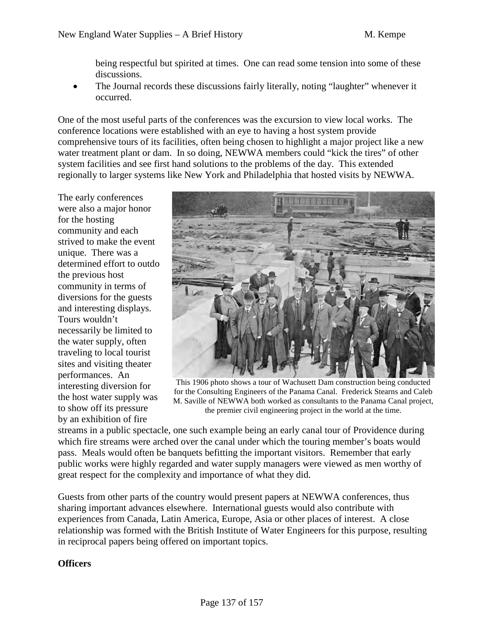being respectful but spirited at times. One can read some tension into some of these discussions.

• The Journal records these discussions fairly literally, noting "laughter" whenever it occurred.

One of the most useful parts of the conferences was the excursion to view local works. The conference locations were established with an eye to having a host system provide comprehensive tours of its facilities, often being chosen to highlight a major project like a new water treatment plant or dam. In so doing, NEWWA members could "kick the tires" of other system facilities and see first hand solutions to the problems of the day. This extended regionally to larger systems like New York and Philadelphia that hosted visits by NEWWA.

The early conferences were also a major honor for the hosting community and each strived to make the event unique. There was a determined effort to outdo the previous host community in terms of diversions for the guests and interesting displays. Tours wouldn't necessarily be limited to the water supply, often traveling to local tourist sites and visiting theater performances. An interesting diversion for the host water supply was to show off its pressure by an exhibition of fire



This 1906 photo shows a tour of Wachusett Dam construction being conducted for the Consulting Engineers of the Panama Canal. Frederick Stearns and Caleb M. Saville of NEWWA both worked as consultants to the Panama Canal project, the premier civil engineering project in the world at the time.

streams in a public spectacle, one such example being an early canal tour of Providence during which fire streams were arched over the canal under which the touring member's boats would pass. Meals would often be banquets befitting the important visitors. Remember that early public works were highly regarded and water supply managers were viewed as men worthy of great respect for the complexity and importance of what they did.

Guests from other parts of the country would present papers at NEWWA conferences, thus sharing important advances elsewhere. International guests would also contribute with experiences from Canada, Latin America, Europe, Asia or other places of interest. A close relationship was formed with the British Institute of Water Engineers for this purpose, resulting in reciprocal papers being offered on important topics.

# **Officers**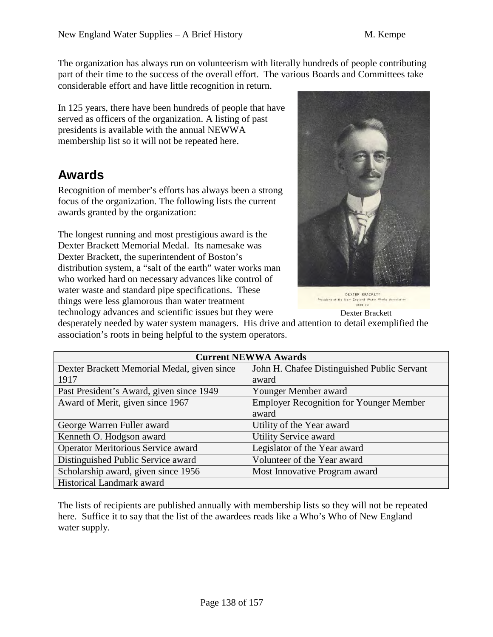The organization has always run on volunteerism with literally hundreds of people contributing part of their time to the success of the overall effort. The various Boards and Committees take considerable effort and have little recognition in return.

In 125 years, there have been hundreds of people that have served as officers of the organization. A listing of past presidents is available with the annual NEWWA membership list so it will not be repeated here.

# **Awards**

Recognition of member's efforts has always been a strong focus of the organization. The following lists the current awards granted by the organization:

The longest running and most prestigious award is the Dexter Brackett Memorial Medal. Its namesake was Dexter Brackett, the superintendent of Boston's distribution system, a "salt of the earth" water works man who worked hard on necessary advances like control of water waste and standard pipe specifications. These things were less glamorous than water treatment



**DEXTER BRACKETT** President of the New England Water Works Association  $1989.90$ 

Dexter Brackett

technology advances and scientific issues but they were

desperately needed by water system managers. His drive and attention to detail exemplified the association's roots in being helpful to the system operators.

| <b>Current NEWWA Awards</b>                 |                                                |  |
|---------------------------------------------|------------------------------------------------|--|
| Dexter Brackett Memorial Medal, given since | John H. Chafee Distinguished Public Servant    |  |
| 1917                                        | award                                          |  |
| Past President's Award, given since 1949    | Younger Member award                           |  |
| Award of Merit, given since 1967            | <b>Employer Recognition for Younger Member</b> |  |
|                                             | award                                          |  |
| George Warren Fuller award                  | Utility of the Year award                      |  |
| Kenneth O. Hodgson award                    | <b>Utility Service award</b>                   |  |
| <b>Operator Meritorious Service award</b>   | Legislator of the Year award                   |  |
| Distinguished Public Service award          | Volunteer of the Year award                    |  |
| Scholarship award, given since 1956         | Most Innovative Program award                  |  |
| Historical Landmark award                   |                                                |  |

The lists of recipients are published annually with membership lists so they will not be repeated here. Suffice it to say that the list of the awardees reads like a Who's Who of New England water supply.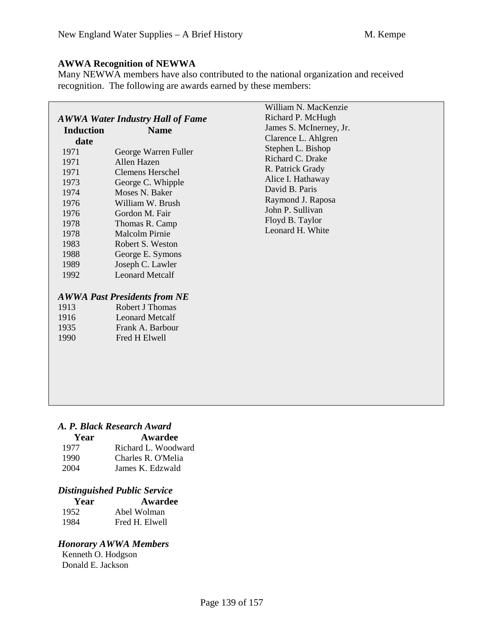# **AWWA Recognition of NEWWA**

Many NEWWA members have also contributed to the national organization and received recognition. The following are awards earned by these members:

|                                                                                                              |                                                                                                                                                                                                                                                                                                                                        | William N. MacKenzie                                                                                                                                                             |
|--------------------------------------------------------------------------------------------------------------|----------------------------------------------------------------------------------------------------------------------------------------------------------------------------------------------------------------------------------------------------------------------------------------------------------------------------------------|----------------------------------------------------------------------------------------------------------------------------------------------------------------------------------|
| <b>AWWA Water Industry Hall of Fame</b>                                                                      |                                                                                                                                                                                                                                                                                                                                        | Richard P. McHugh                                                                                                                                                                |
| <b>Induction</b>                                                                                             | <b>Name</b>                                                                                                                                                                                                                                                                                                                            | James S. McInerney, Jr.                                                                                                                                                          |
| date                                                                                                         |                                                                                                                                                                                                                                                                                                                                        | Clarence L. Ahlgren                                                                                                                                                              |
| 1971<br>1971<br>1971<br>1973<br>1974<br>1976<br>1976<br>1978<br>1978<br>1983<br>1988<br>1989<br>1992<br>1913 | George Warren Fuller<br>Allen Hazen<br><b>Clemens Herschel</b><br>George C. Whipple<br>Moses N. Baker<br>William W. Brush<br>Gordon M. Fair<br>Thomas R. Camp<br><b>Malcolm Pirnie</b><br>Robert S. Weston<br>George E. Symons<br>Joseph C. Lawler<br><b>Leonard Metcalf</b><br><b>AWWA Past Presidents from NE</b><br>Robert J Thomas | Stephen L. Bishop<br>Richard C. Drake<br>R. Patrick Grady<br>Alice I. Hathaway<br>David B. Paris<br>Raymond J. Raposa<br>John P. Sullivan<br>Floyd B. Taylor<br>Leonard H. White |
| 1916                                                                                                         | <b>Leonard Metcalf</b>                                                                                                                                                                                                                                                                                                                 |                                                                                                                                                                                  |
| 1935                                                                                                         | Frank A. Barbour                                                                                                                                                                                                                                                                                                                       |                                                                                                                                                                                  |
| 1990                                                                                                         | Fred H Elwell                                                                                                                                                                                                                                                                                                                          |                                                                                                                                                                                  |

# *A. P. Black Research Award*

| Year | Awardee             |  |
|------|---------------------|--|
| 1977 | Richard L. Woodward |  |
| 1990 | Charles R. O'Melia  |  |
| 2004 | James K. Edzwald    |  |

# *Distinguished Public Service*

| Year | Awardee        |
|------|----------------|
| 1952 | Abel Wolman    |
| 1984 | Fred H. Elwell |

# *Honorary AWWA Members*

Kenneth O. Hodgson Donald E. Jackson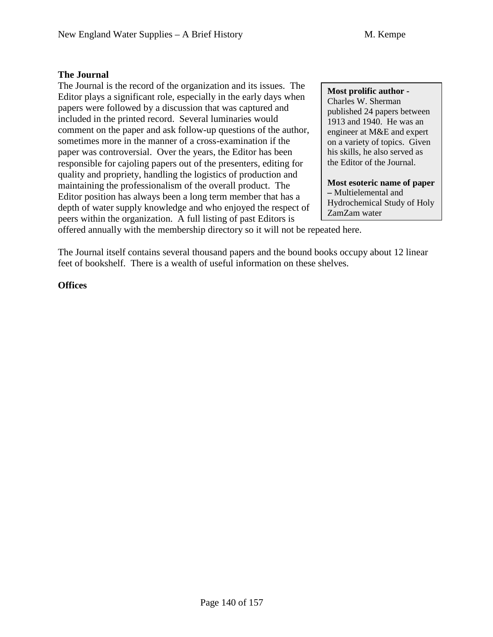## **The Journal**

The Journal is the record of the organization and its issues. The Editor plays a significant role, especially in the early days when papers were followed by a discussion that was captured and included in the printed record. Several luminaries would comment on the paper and ask follow-up questions of the author, sometimes more in the manner of a cross-examination if the paper was controversial. Over the years, the Editor has been responsible for cajoling papers out of the presenters, editing for quality and propriety, handling the logistics of production and maintaining the professionalism of the overall product. The Editor position has always been a long term member that has a depth of water supply knowledge and who enjoyed the respect of peers within the organization. A full listing of past Editors is

**Most prolific author -** Charles W. Sherman published 24 papers between 1913 and 1940. He was an engineer at M&E and expert on a variety of topics. Given his skills, he also served as the Editor of the Journal.

**Most esoteric name of paper –** Multielemental and Hydrochemical Study of Holy ZamZam water

offered annually with the membership directory so it will not be repeated here.

The Journal itself contains several thousand papers and the bound books occupy about 12 linear feet of bookshelf. There is a wealth of useful information on these shelves.

## **Offices**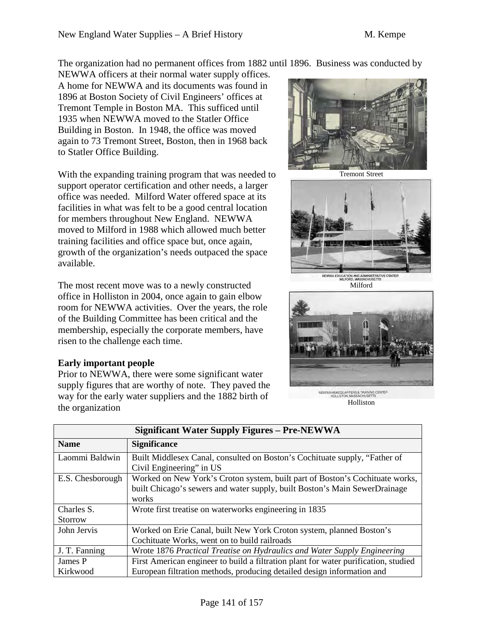The organization had no permanent offices from 1882 until 1896. Business was conducted by

NEWWA officers at their normal water supply offices. A home for NEWWA and its documents was found in 1896 at Boston Society of Civil Engineers' offices at Tremont Temple in Boston MA. This sufficed until 1935 when NEWWA moved to the Statler Office Building in Boston. In 1948, the office was moved again to 73 Tremont Street, Boston, then in 1968 back to Statler Office Building.

With the expanding training program that was needed to support operator certification and other needs, a larger office was needed. Milford Water offered space at its facilities in what was felt to be a good central location for members throughout New England. NEWWA moved to Milford in 1988 which allowed much better training facilities and office space but, once again, growth of the organization's needs outpaced the space available.

The most recent move was to a newly constructed office in Holliston in 2004, once again to gain elbow room for NEWWA activities. Over the years, the role of the Building Committee has been critical and the membership, especially the corporate members, have risen to the challenge each time.

#### **Early important people**

Prior to NEWWA, there were some significant water supply figures that are worthy of note. They paved the way for the early water suppliers and the 1882 birth of the organization



Tremont Street



Milford



NEWWA HEADQUARTERS & TRAINING CENTER<br>HOLLISTON, MASSACHUSETTS Holliston

| <b>Significant Water Supply Figures - Pre-NEWWA</b> |                                                                                                                                                                     |  |
|-----------------------------------------------------|---------------------------------------------------------------------------------------------------------------------------------------------------------------------|--|
| <b>Name</b>                                         | <b>Significance</b>                                                                                                                                                 |  |
| Laommi Baldwin                                      | Built Middlesex Canal, consulted on Boston's Cochituate supply, "Father of<br>Civil Engineering" in US                                                              |  |
| E.S. Chesborough                                    | Worked on New York's Croton system, built part of Boston's Cochituate works,<br>built Chicago's sewers and water supply, built Boston's Main SewerDrainage<br>works |  |
| Charles S.<br>Storrow                               | Wrote first treatise on waterworks engineering in 1835                                                                                                              |  |
| John Jervis                                         | Worked on Erie Canal, built New York Croton system, planned Boston's<br>Cochituate Works, went on to build railroads                                                |  |
| J. T. Fanning                                       | Wrote 1876 Practical Treatise on Hydraulics and Water Supply Engineering                                                                                            |  |
| James P                                             | First American engineer to build a filtration plant for water purification, studied                                                                                 |  |
| Kirkwood                                            | European filtration methods, producing detailed design information and                                                                                              |  |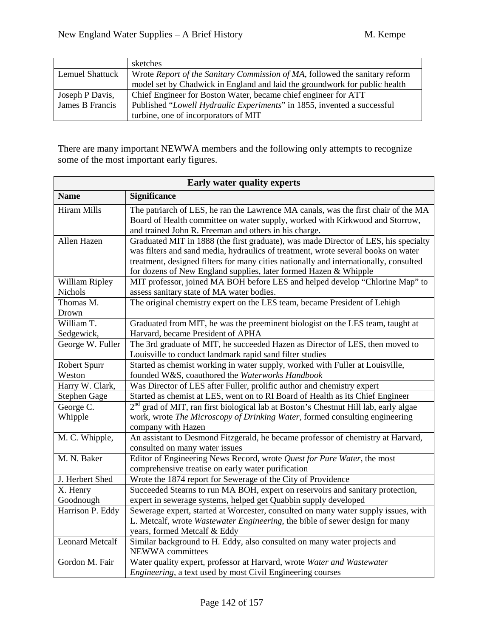|                 | sketches                                                                    |
|-----------------|-----------------------------------------------------------------------------|
| Lemuel Shattuck | Wrote Report of the Sanitary Commission of MA, followed the sanitary reform |
|                 | model set by Chadwick in England and laid the groundwork for public health  |
| Joseph P Davis, | Chief Engineer for Boston Water, became chief engineer for ATT              |
| James B Francis | Published "Lowell Hydraulic Experiments" in 1855, invented a successful     |
|                 | turbine, one of incorporators of MIT                                        |

There are many important NEWWA members and the following only attempts to recognize some of the most important early figures.

| <b>Early water quality experts</b> |                                                                                                                                       |  |
|------------------------------------|---------------------------------------------------------------------------------------------------------------------------------------|--|
| <b>Name</b>                        | <b>Significance</b>                                                                                                                   |  |
| <b>Hiram Mills</b>                 | The patriarch of LES, he ran the Lawrence MA canals, was the first chair of the MA                                                    |  |
|                                    | Board of Health committee on water supply, worked with Kirkwood and Storrow,<br>and trained John R. Freeman and others in his charge. |  |
| Allen Hazen                        | Graduated MIT in 1888 (the first graduate), was made Director of LES, his specialty                                                   |  |
|                                    | was filters and sand media, hydraulics of treatment, wrote several books on water                                                     |  |
|                                    | treatment, designed filters for many cities nationally and internationally, consulted                                                 |  |
|                                    | for dozens of New England supplies, later formed Hazen & Whipple                                                                      |  |
| William Ripley<br>Nichols          | MIT professor, joined MA BOH before LES and helped develop "Chlorine Map" to                                                          |  |
| Thomas M.                          | assess sanitary state of MA water bodies.                                                                                             |  |
| Drown                              | The original chemistry expert on the LES team, became President of Lehigh                                                             |  |
| William T.                         | Graduated from MIT, he was the preeminent biologist on the LES team, taught at                                                        |  |
| Sedgewick,                         | Harvard, became President of APHA                                                                                                     |  |
| George W. Fuller                   | The 3rd graduate of MIT, he succeeded Hazen as Director of LES, then moved to                                                         |  |
|                                    | Louisville to conduct landmark rapid sand filter studies                                                                              |  |
| <b>Robert Spurr</b>                | Started as chemist working in water supply, worked with Fuller at Louisville,                                                         |  |
| Weston                             | founded W&S, coauthored the Waterworks Handbook                                                                                       |  |
| Harry W. Clark,                    | Was Director of LES after Fuller, prolific author and chemistry expert                                                                |  |
| <b>Stephen Gage</b>                | Started as chemist at LES, went on to RI Board of Health as its Chief Engineer                                                        |  |
| George C.                          | $2nd$ grad of MIT, ran first biological lab at Boston's Chestnut Hill lab, early algae                                                |  |
| Whipple                            | work, wrote The Microscopy of Drinking Water, formed consulting engineering                                                           |  |
|                                    | company with Hazen                                                                                                                    |  |
| M. C. Whipple,                     | An assistant to Desmond Fitzgerald, he became professor of chemistry at Harvard,<br>consulted on many water issues                    |  |
| M. N. Baker                        | Editor of Engineering News Record, wrote Quest for Pure Water, the most                                                               |  |
|                                    | comprehensive treatise on early water purification                                                                                    |  |
| J. Herbert Shed                    | Wrote the 1874 report for Sewerage of the City of Providence                                                                          |  |
| X. Henry                           | Succeeded Stearns to run MA BOH, expert on reservoirs and sanitary protection,                                                        |  |
| Goodnough                          | expert in sewerage systems, helped get Quabbin supply developed                                                                       |  |
| Harrison P. Eddy                   | Sewerage expert, started at Worcester, consulted on many water supply issues, with                                                    |  |
|                                    | L. Metcalf, wrote Wastewater Engineering, the bible of sewer design for many                                                          |  |
|                                    | years, formed Metcalf & Eddy                                                                                                          |  |
| <b>Leonard Metcalf</b>             | Similar background to H. Eddy, also consulted on many water projects and                                                              |  |
|                                    | NEWWA committees                                                                                                                      |  |
| Gordon M. Fair                     | Water quality expert, professor at Harvard, wrote Water and Wastewater                                                                |  |
|                                    | <i>Engineering</i> , a text used by most Civil Engineering courses                                                                    |  |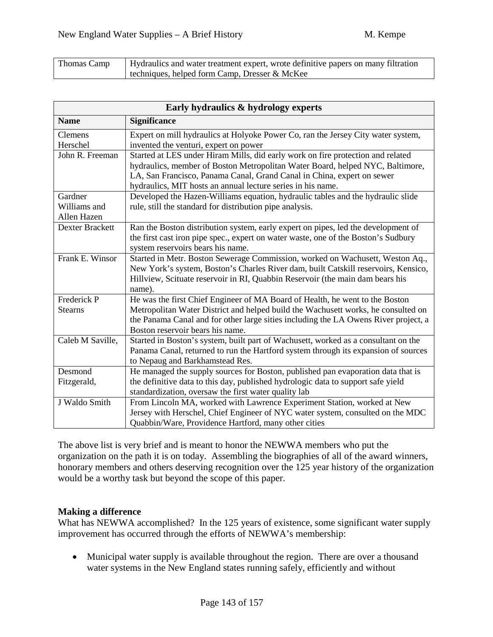| Thomas Camp | Hydraulics and water treatment expert, wrote definitive papers on many filtration |
|-------------|-----------------------------------------------------------------------------------|
|             | techniques, helped form Camp, Dresser & McKee                                     |

| Early hydraulics & hydrology experts   |                                                                                                                                                                                                                                                                                                           |  |
|----------------------------------------|-----------------------------------------------------------------------------------------------------------------------------------------------------------------------------------------------------------------------------------------------------------------------------------------------------------|--|
| <b>Name</b>                            | <b>Significance</b>                                                                                                                                                                                                                                                                                       |  |
| Clemens<br>Herschel                    | Expert on mill hydraulics at Holyoke Power Co, ran the Jersey City water system,<br>invented the venturi, expert on power                                                                                                                                                                                 |  |
| John R. Freeman                        | Started at LES under Hiram Mills, did early work on fire protection and related<br>hydraulics, member of Boston Metropolitan Water Board, helped NYC, Baltimore,<br>LA, San Francisco, Panama Canal, Grand Canal in China, expert on sewer<br>hydraulics, MIT hosts an annual lecture series in his name. |  |
| Gardner<br>Williams and<br>Allen Hazen | Developed the Hazen-Williams equation, hydraulic tables and the hydraulic slide<br>rule, still the standard for distribution pipe analysis.                                                                                                                                                               |  |
| Dexter Brackett                        | Ran the Boston distribution system, early expert on pipes, led the development of<br>the first cast iron pipe spec., expert on water waste, one of the Boston's Sudbury<br>system reservoirs bears his name.                                                                                              |  |
| Frank E. Winsor                        | Started in Metr. Boston Sewerage Commission, worked on Wachusett, Weston Aq.,<br>New York's system, Boston's Charles River dam, built Catskill reservoirs, Kensico,<br>Hillview, Scituate reservoir in RI, Quabbin Reservoir (the main dam bears his<br>name).                                            |  |
| Frederick P<br><b>Stearns</b>          | He was the first Chief Engineer of MA Board of Health, he went to the Boston<br>Metropolitan Water District and helped build the Wachusett works, he consulted on<br>the Panama Canal and for other large sities including the LA Owens River project, a<br>Boston reservoir bears his name.              |  |
| Caleb M Saville,                       | Started in Boston's system, built part of Wachusett, worked as a consultant on the<br>Panama Canal, returned to run the Hartford system through its expansion of sources<br>to Nepaug and Barkhamstead Res.                                                                                               |  |
| Desmond<br>Fitzgerald,                 | He managed the supply sources for Boston, published pan evaporation data that is<br>the definitive data to this day, published hydrologic data to support safe yield<br>standardization, oversaw the first water quality lab                                                                              |  |
| J Waldo Smith                          | From Lincoln MA, worked with Lawrence Experiment Station, worked at New<br>Jersey with Herschel, Chief Engineer of NYC water system, consulted on the MDC<br>Quabbin/Ware, Providence Hartford, many other cities                                                                                         |  |

The above list is very brief and is meant to honor the NEWWA members who put the organization on the path it is on today. Assembling the biographies of all of the award winners, honorary members and others deserving recognition over the 125 year history of the organization would be a worthy task but beyond the scope of this paper.

#### **Making a difference**

What has NEWWA accomplished? In the 125 years of existence, some significant water supply improvement has occurred through the efforts of NEWWA's membership:

• Municipal water supply is available throughout the region. There are over a thousand water systems in the New England states running safely, efficiently and without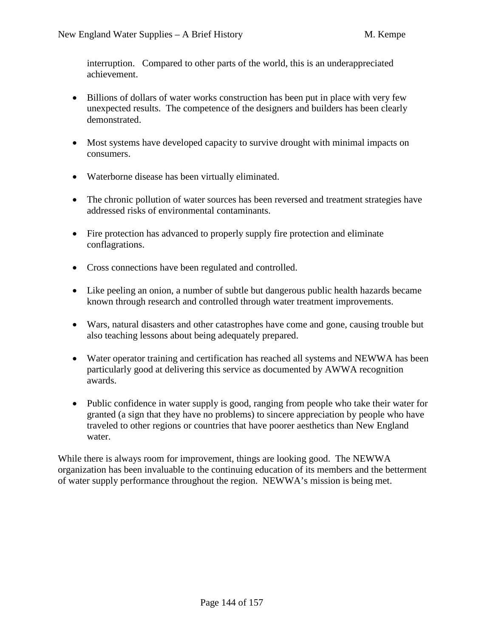interruption. Compared to other parts of the world, this is an underappreciated achievement.

- Billions of dollars of water works construction has been put in place with very few unexpected results. The competence of the designers and builders has been clearly demonstrated.
- Most systems have developed capacity to survive drought with minimal impacts on consumers.
- Waterborne disease has been virtually eliminated.
- The chronic pollution of water sources has been reversed and treatment strategies have addressed risks of environmental contaminants.
- Fire protection has advanced to properly supply fire protection and eliminate conflagrations.
- Cross connections have been regulated and controlled.
- Like peeling an onion, a number of subtle but dangerous public health hazards became known through research and controlled through water treatment improvements.
- Wars, natural disasters and other catastrophes have come and gone, causing trouble but also teaching lessons about being adequately prepared.
- Water operator training and certification has reached all systems and NEWWA has been particularly good at delivering this service as documented by AWWA recognition awards.
- Public confidence in water supply is good, ranging from people who take their water for granted (a sign that they have no problems) to sincere appreciation by people who have traveled to other regions or countries that have poorer aesthetics than New England water.

While there is always room for improvement, things are looking good. The NEWWA organization has been invaluable to the continuing education of its members and the betterment of water supply performance throughout the region. NEWWA's mission is being met.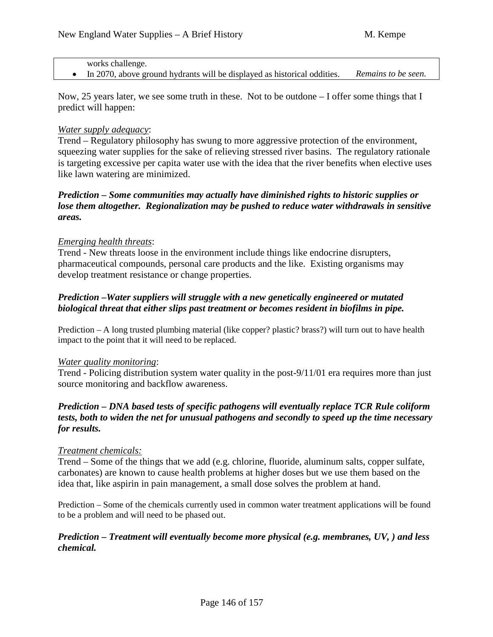| works challenge.                                                         |                     |
|--------------------------------------------------------------------------|---------------------|
| In 2070, above ground hydrants will be displayed as historical oddities. | Remains to be seen. |

Now, 25 years later, we see some truth in these. Not to be outdone – I offer some things that I predict will happen:

#### *Water supply adequacy*:

Trend – Regulatory philosophy has swung to more aggressive protection of the environment, squeezing water supplies for the sake of relieving stressed river basins. The regulatory rationale is targeting excessive per capita water use with the idea that the river benefits when elective uses like lawn watering are minimized.

## *Prediction – Some communities may actually have diminished rights to historic supplies or lose them altogether. Regionalization may be pushed to reduce water withdrawals in sensitive areas.*

#### *Emerging health threats*:

Trend - New threats loose in the environment include things like endocrine disrupters, pharmaceutical compounds, personal care products and the like. Existing organisms may develop treatment resistance or change properties.

## *Prediction –Water suppliers will struggle with a new genetically engineered or mutated biological threat that either slips past treatment or becomes resident in biofilms in pipe.*

Prediction – A long trusted plumbing material (like copper? plastic? brass?) will turn out to have health impact to the point that it will need to be replaced.

#### *Water quality monitoring*:

Trend - Policing distribution system water quality in the post-9/11/01 era requires more than just source monitoring and backflow awareness.

## *Prediction – DNA based tests of specific pathogens will eventually replace TCR Rule coliform tests, both to widen the net for unusual pathogens and secondly to speed up the time necessary for results.*

#### *Treatment chemicals:*

Trend – Some of the things that we add (e.g. chlorine, fluoride, aluminum salts, copper sulfate, carbonates) are known to cause health problems at higher doses but we use them based on the idea that, like aspirin in pain management, a small dose solves the problem at hand.

Prediction – Some of the chemicals currently used in common water treatment applications will be found to be a problem and will need to be phased out.

#### *Prediction – Treatment will eventually become more physical (e.g. membranes, UV, ) and less chemical.*